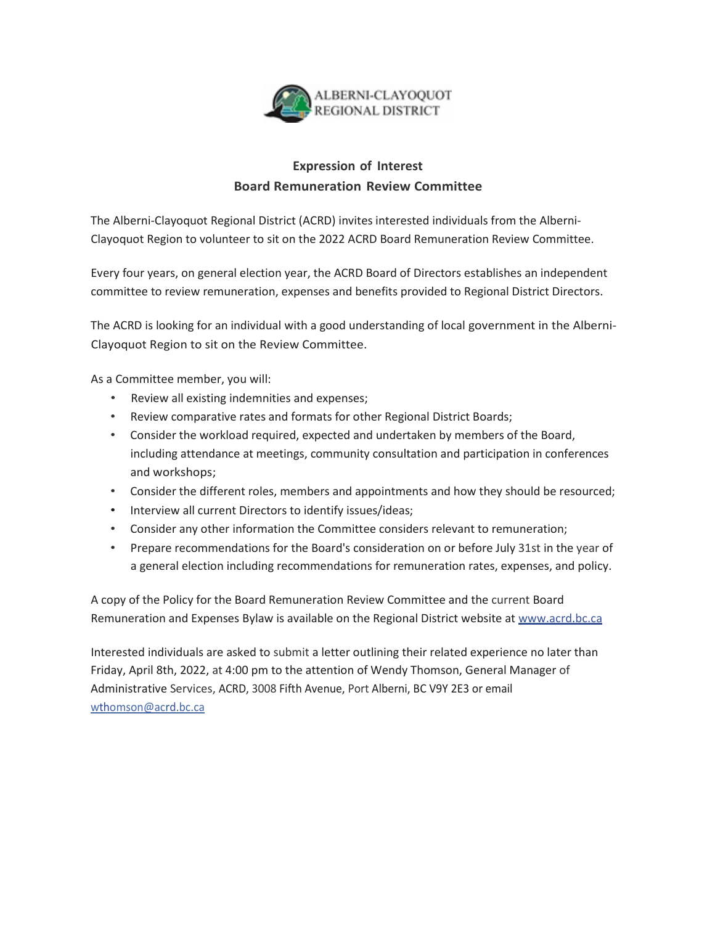

# **Expression of Interest Board Remuneration Review Committee**

The Alberni-Clayoquot Regional District (ACRD) invites interested individuals from the Alberni-Clayoquot Region to volunteer to sit on the 2022 ACRD Board Remuneration Review Committee.

Every four years, on general election year, the ACRD Board of Directors establishes an independent committee to review remuneration, expenses and benefits provided to Regional District Directors.

The ACRD is looking for an individual with a good understanding of local government in the Alberni-Clayoquot Region to sit on the Review Committee.

As a Committee member, you will:

- Review all existing indemnities and expenses;
- Review comparative rates and formats for other Regional District Boards;
- Consider the workload required, expected and undertaken by members of the Board, including attendance at meetings, community consultation and participation in conferences and workshops;
- Consider the different roles, members and appointments and how they should be resourced;
- Interview all current Directors to identify issues/ideas;
- Consider any other information the Committee considers relevant to remuneration;
- Prepare recommendations for the Board's consideration on or before July 31st in the year of a general election including recommendations for remuneration rates, expenses, and policy.

A copy of the Policy for the Board Remuneration Review Committee and the current Board Remuneration and Expenses Bylaw is available on the Regional District website at [www.acrd.bc.ca](http://www.acrd.bc.ca/)

Interested individuals are asked to submit a letter outlining their related experience no later than Friday, April 8th, 2022, at 4:00 pm to the attention of Wendy Thomson, General Manager of Administrative Services, ACRD, 3008 Fifth Avenue, Port Alberni, BC V9Y 2E3 or email [wthomson@acrd.bc.ca](mailto:wthomson@acrd.bc.ca)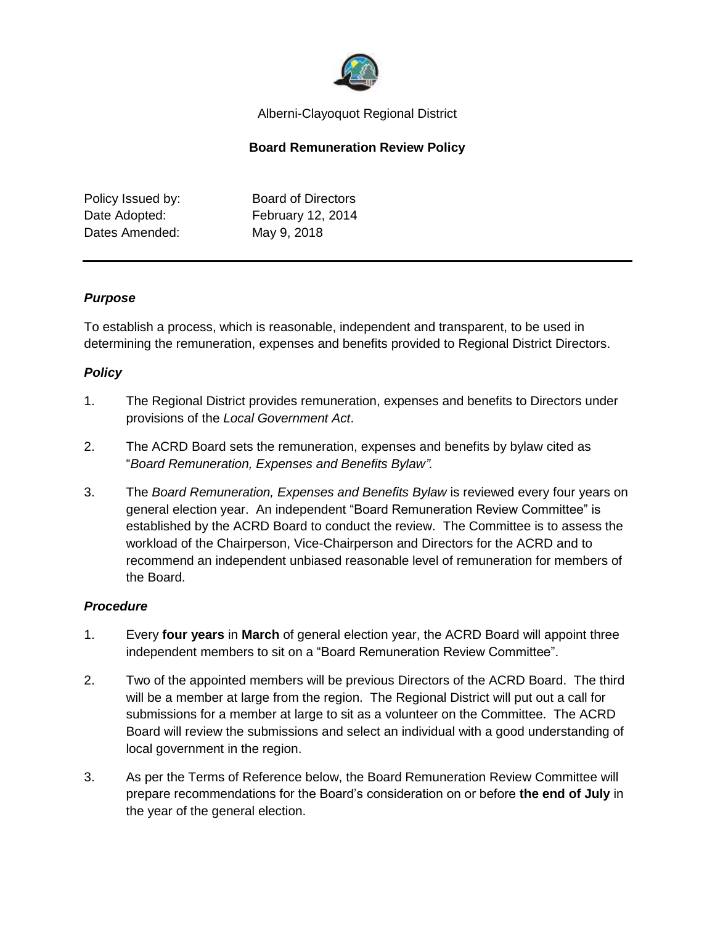

#### Alberni-Clayoquot Regional District

### **Board Remuneration Review Policy**

Policy Issued by: Board of Directors Date Adopted: February 12, 2014 Dates Amended: May 9, 2018

### *Purpose*

To establish a process, which is reasonable, independent and transparent, to be used in determining the remuneration, expenses and benefits provided to Regional District Directors.

### *Policy*

- 1. The Regional District provides remuneration, expenses and benefits to Directors under provisions of the *Local Government Act*.
- 2. The ACRD Board sets the remuneration, expenses and benefits by bylaw cited as "*Board Remuneration, Expenses and Benefits Bylaw".*
- 3. The *Board Remuneration, Expenses and Benefits Bylaw* is reviewed every four years on general election year. An independent "Board Remuneration Review Committee" is established by the ACRD Board to conduct the review. The Committee is to assess the workload of the Chairperson, Vice-Chairperson and Directors for the ACRD and to recommend an independent unbiased reasonable level of remuneration for members of the Board.

#### *Procedure*

- 1. Every **four years** in **March** of general election year, the ACRD Board will appoint three independent members to sit on a "Board Remuneration Review Committee".
- 2. Two of the appointed members will be previous Directors of the ACRD Board. The third will be a member at large from the region. The Regional District will put out a call for submissions for a member at large to sit as a volunteer on the Committee. The ACRD Board will review the submissions and select an individual with a good understanding of local government in the region.
- 3. As per the Terms of Reference below, the Board Remuneration Review Committee will prepare recommendations for the Board's consideration on or before **the end of July** in the year of the general election.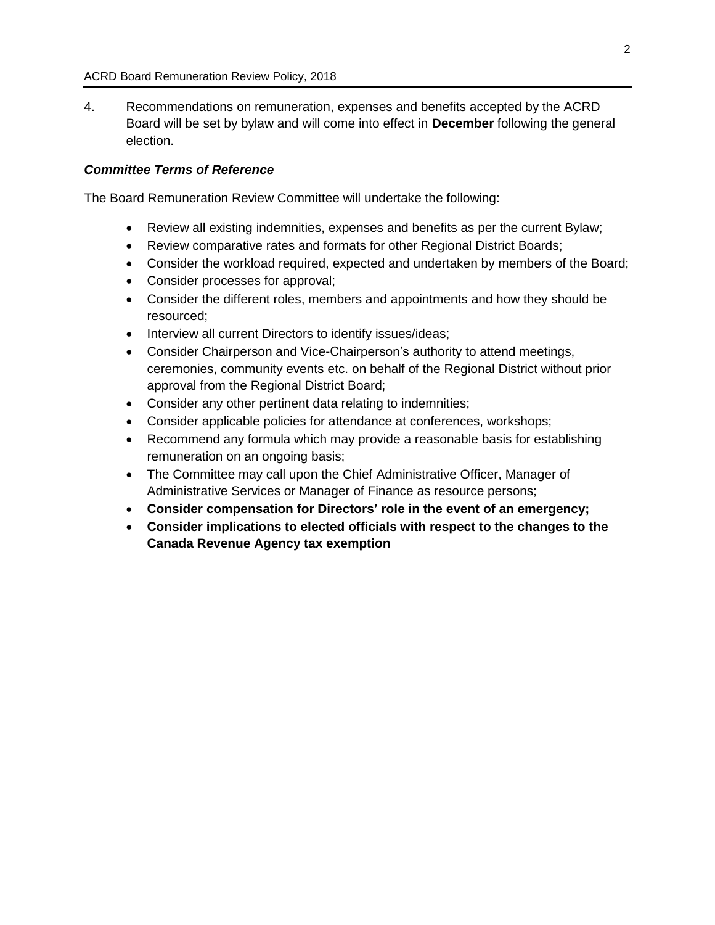4. Recommendations on remuneration, expenses and benefits accepted by the ACRD Board will be set by bylaw and will come into effect in **December** following the general election.

#### *Committee Terms of Reference*

The Board Remuneration Review Committee will undertake the following:

- Review all existing indemnities, expenses and benefits as per the current Bylaw;
- Review comparative rates and formats for other Regional District Boards;
- Consider the workload required, expected and undertaken by members of the Board;
- Consider processes for approval;
- Consider the different roles, members and appointments and how they should be resourced;
- Interview all current Directors to identify issues/ideas;
- Consider Chairperson and Vice-Chairperson's authority to attend meetings, ceremonies, community events etc. on behalf of the Regional District without prior approval from the Regional District Board;
- Consider any other pertinent data relating to indemnities;
- Consider applicable policies for attendance at conferences, workshops;
- Recommend any formula which may provide a reasonable basis for establishing remuneration on an ongoing basis;
- The Committee may call upon the Chief Administrative Officer, Manager of Administrative Services or Manager of Finance as resource persons;
- **Consider compensation for Directors' role in the event of an emergency;**
- **Consider implications to elected officials with respect to the changes to the Canada Revenue Agency tax exemption**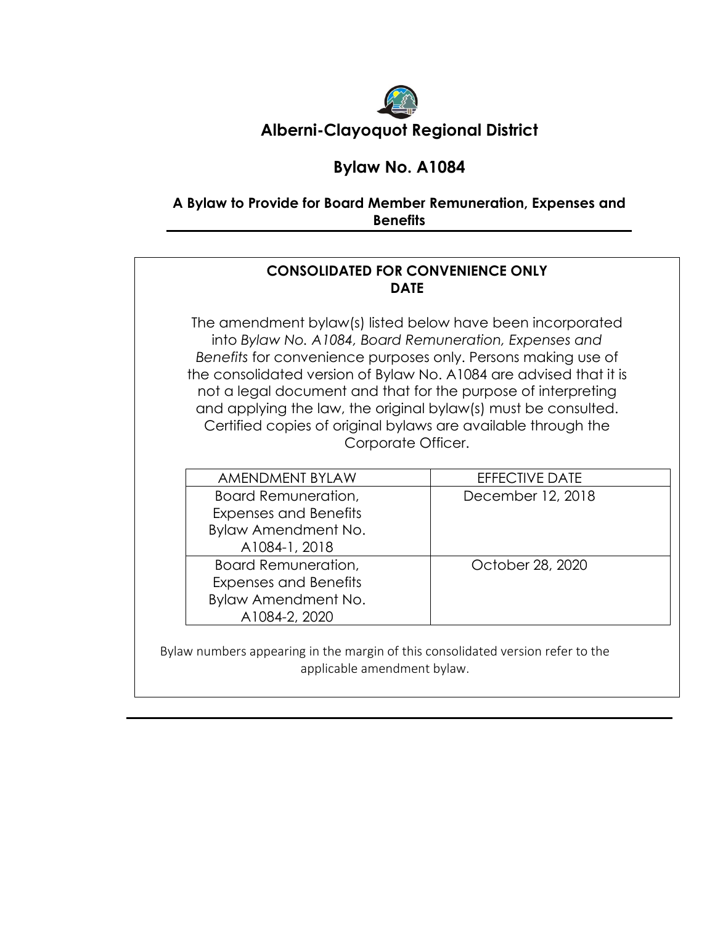

# **Bylaw No. A1084**

# **A Bylaw to Provide for Board Member Remuneration, Expenses and Benefits**

# **CONSOLIDATED FOR CONVENIENCE ONLY DATE**

The amendment bylaw(s) listed below have been incorporated into *Bylaw No. A1084, Board Remuneration, Expenses and Benefits* for convenience purposes only. Persons making use of the consolidated version of Bylaw No. A1084 are advised that it is not a legal document and that for the purpose of interpreting and applying the law, the original bylaw(s) must be consulted. Certified copies of original bylaws are available through the Corporate Officer.

| <b>AMENDMENT BYLAW</b>       | <b>EFFECTIVE DATE</b> |
|------------------------------|-----------------------|
| Board Remuneration,          | December 12, 2018     |
| <b>Expenses and Benefits</b> |                       |
| Bylaw Amendment No.          |                       |
| A1084-1, 2018                |                       |
| <b>Board Remuneration,</b>   | October 28, 2020      |
| <b>Expenses and Benefits</b> |                       |
| Bylaw Amendment No.          |                       |
| A1084-2, 2020                |                       |

Bylaw numbers appearing in the margin of this consolidated version refer to the applicable amendment bylaw.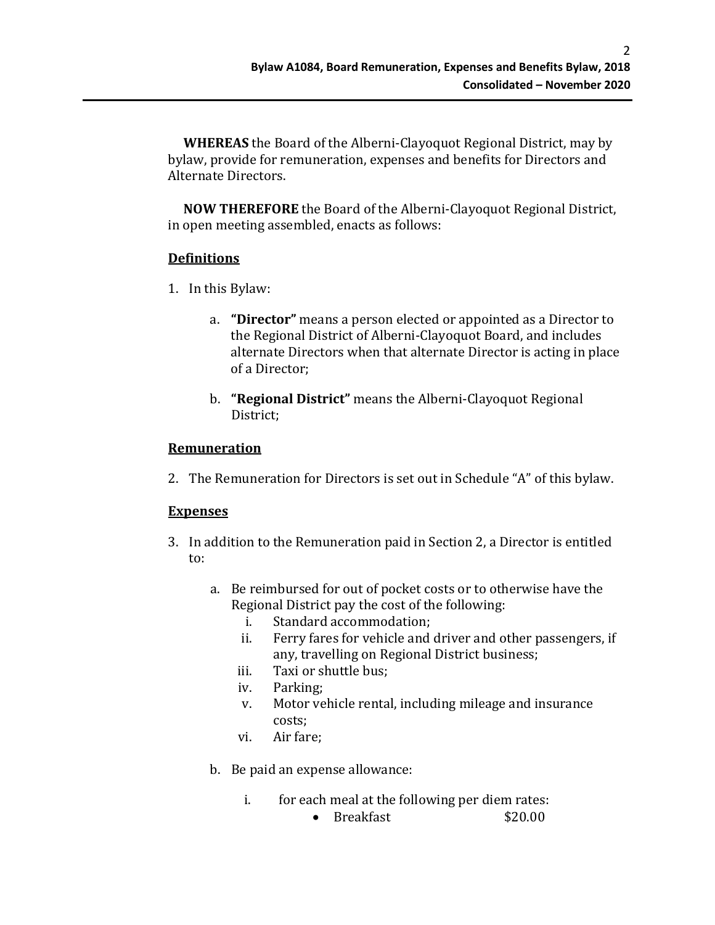**WHEREAS** the Board of the Alberni-Clayoquot Regional District, may by bylaw, provide for remuneration, expenses and benefits for Directors and Alternate Directors.

 **NOW THEREFORE** the Board of the Alberni-Clayoquot Regional District, in open meeting assembled, enacts as follows:

## **Definitions**

- 1. In this Bylaw:
	- a. **"Director"** means a person elected or appointed as a Director to the Regional District of Alberni-Clayoquot Board, and includes alternate Directors when that alternate Director is acting in place of a Director;
	- b. **"Regional District"** means the Alberni-Clayoquot Regional District;

## **Remuneration**

2. The Remuneration for Directors is set out in Schedule "A" of this bylaw.

## **Expenses**

- 3. In addition to the Remuneration paid in Section 2, a Director is entitled to:
	- a. Be reimbursed for out of pocket costs or to otherwise have the Regional District pay the cost of the following:<br>i. Standard accommodation:
		- i. Standard accommodation;<br>ii. Ferry fares for vehicle and
		- Ferry fares for vehicle and driver and other passengers, if any, travelling on Regional District business;
		- iii. Taxi or shuttle bus;<br>iv. Parking:
		- Parking;
		- v. Motor vehicle rental, including mileage and insurance costs;
		- vi. Air fare;
	- b. Be paid an expense allowance:
		- i. for each meal at the following per diem rates:<br>**620.00** Breakfast
			- $\bullet$  Breakfast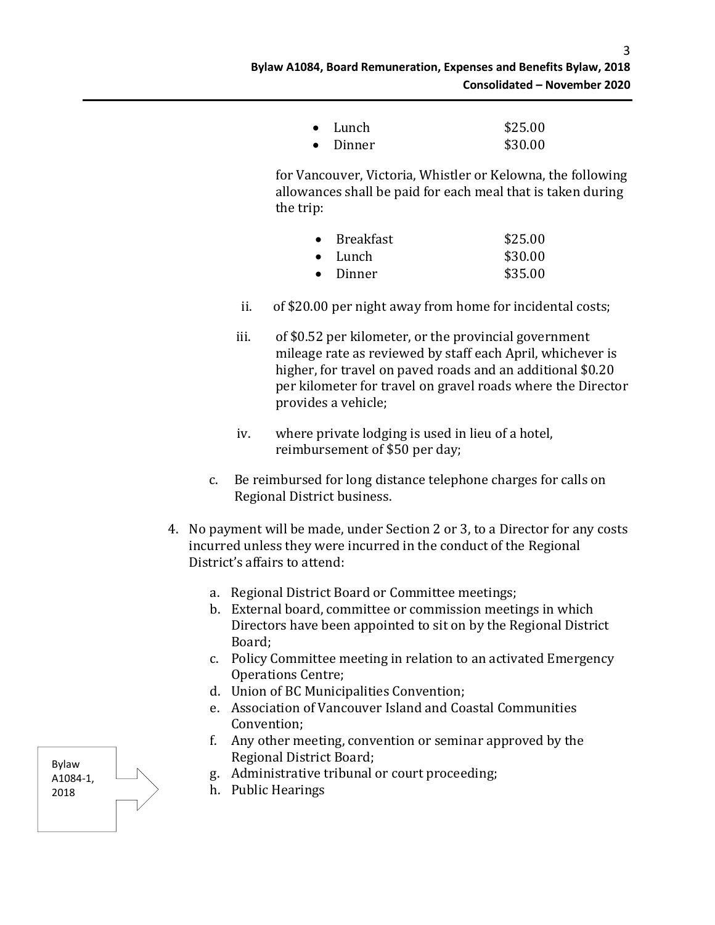3

| $\bullet$ Lunch  | \$25.00 |
|------------------|---------|
| $\bullet$ Dinner | \$30.00 |

for Vancouver, Victoria, Whistler or Kelowna, the following allowances shall be paid for each meal that is taken during the trip:

| $\bullet$ | Breakfast        | \$25.00 |
|-----------|------------------|---------|
|           | $\bullet$ Lunch  | \$30.00 |
|           | $\bullet$ Dinner | \$35.00 |

- ii. of \$20.00 per night away from home for incidental costs;
- iii. of \$0.52 per kilometer, or the provincial government mileage rate as reviewed by staff each April, whichever is higher, for travel on paved roads and an additional \$0.20 per kilometer for travel on gravel roads where the Director provides a vehicle;
- iv. where private lodging is used in lieu of a hotel, reimbursement of \$50 per day;
- c. Be reimbursed for long distance telephone charges for calls on Regional District business.
- 4. No payment will be made, under Section 2 or 3, to a Director for any costs incurred unless they were incurred in the conduct of the Regional District's affairs to attend:
	- a. Regional District Board or Committee meetings;
	- b. External board, committee or commission meetings in which Directors have been appointed to sit on by the Regional District Board;
	- c. Policy Committee meeting in relation to an activated Emergency Operations Centre;
	- d. Union of BC Municipalities Convention;
	- e. Association of Vancouver Island and Coastal Communities Convention;
	- f. Any other meeting, convention or seminar approved by the Regional District Board;
	- g. Administrative tribunal or court proceeding;
	- h. Public Hearings

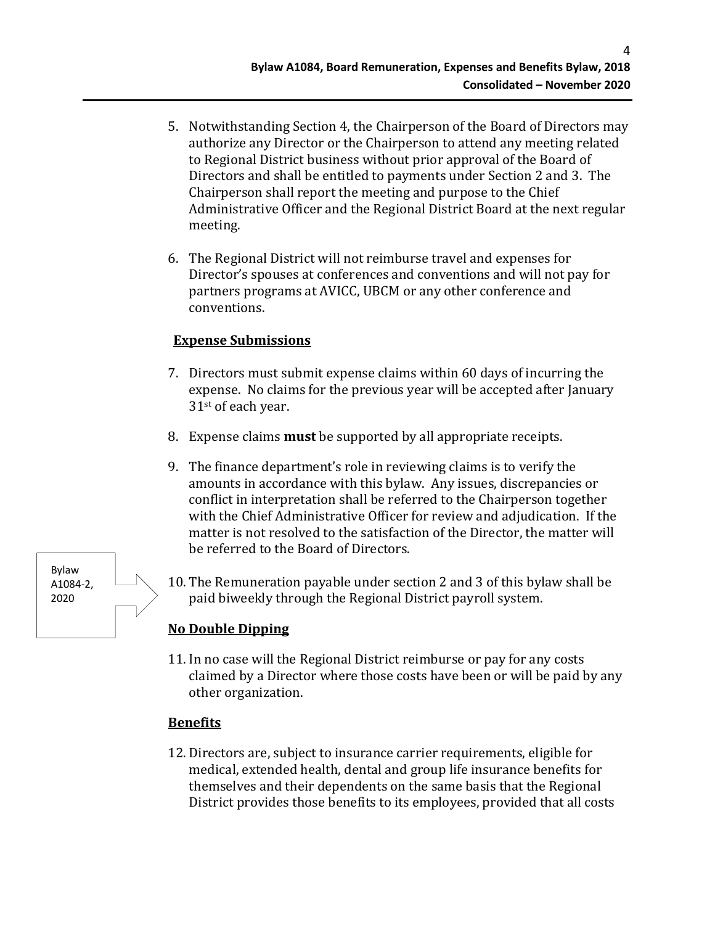4

- 5. Notwithstanding Section 4, the Chairperson of the Board of Directors may authorize any Director or the Chairperson to attend any meeting related to Regional District business without prior approval of the Board of Directors and shall be entitled to payments under Section 2 and 3. The Chairperson shall report the meeting and purpose to the Chief Administrative Officer and the Regional District Board at the next regular meeting.
- 6. The Regional District will not reimburse travel and expenses for Director's spouses at conferences and conventions and will not pay for partners programs at AVICC, UBCM or any other conference and conventions.

## **Expense Submissions**

- 7. Directors must submit expense claims within 60 days of incurring the expense. No claims for the previous year will be accepted after January 31st of each year.
- 8. Expense claims **must** be supported by all appropriate receipts.
- 9. The finance department's role in reviewing claims is to verify the amounts in accordance with this bylaw. Any issues, discrepancies or conflict in interpretation shall be referred to the Chairperson together with the Chief Administrative Officer for review and adjudication. If the matter is not resolved to the satisfaction of the Director, the matter will be referred to the Board of Directors.
- 10. The Remuneration payable under section 2 and 3 of this bylaw shall be paid biweekly through the Regional District payroll system.

## **No Double Dipping**

11. In no case will the Regional District reimburse or pay for any costs claimed by a Director where those costs have been or will be paid by any other organization.

## **Benefits**

12. Directors are, subject to insurance carrier requirements, eligible for medical, extended health, dental and group life insurance benefits for themselves and their dependents on the same basis that the Regional District provides those benefits to its employees, provided that all costs

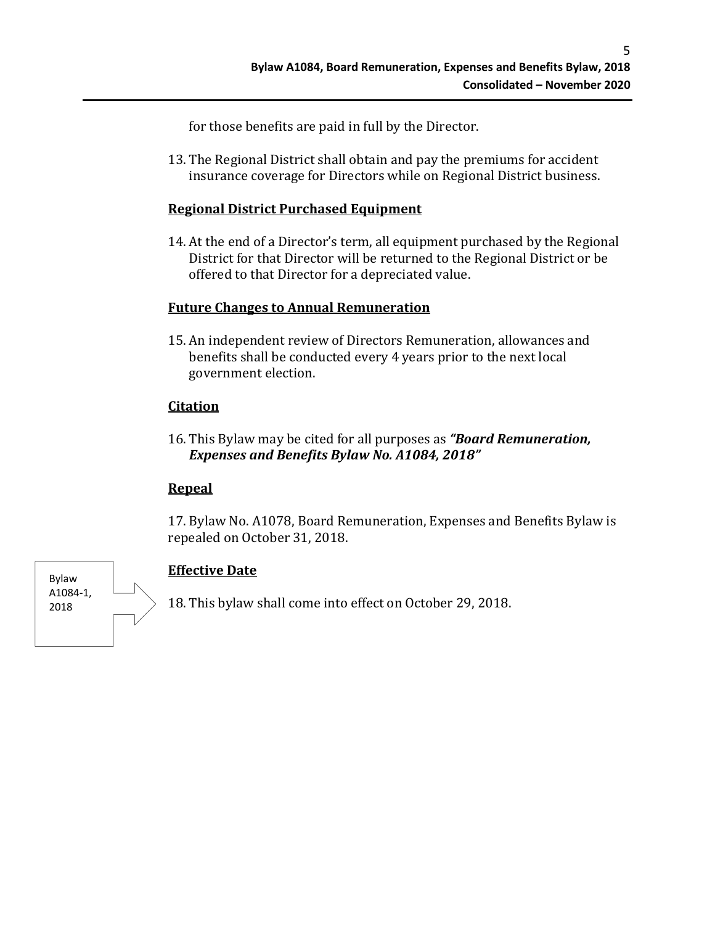for those benefits are paid in full by the Director.

13. The Regional District shall obtain and pay the premiums for accident insurance coverage for Directors while on Regional District business.

# **Regional District Purchased Equipment**

14. At the end of a Director's term, all equipment purchased by the Regional District for that Director will be returned to the Regional District or be offered to that Director for a depreciated value.

# **Future Changes to Annual Remuneration**

15. An independent review of Directors Remuneration, allowances and benefits shall be conducted every 4 years prior to the next local government election.

# **Citation**

16. This Bylaw may be cited for all purposes as *"Board Remuneration, Expenses and Benefits Bylaw No. A1084, 2018"*

## **Repeal**

17. Bylaw No. A1078, Board Remuneration, Expenses and Benefits Bylaw is repealed on October 31, 2018.



# **Effective Date**

18. This bylaw shall come into effect on October 29, 2018.